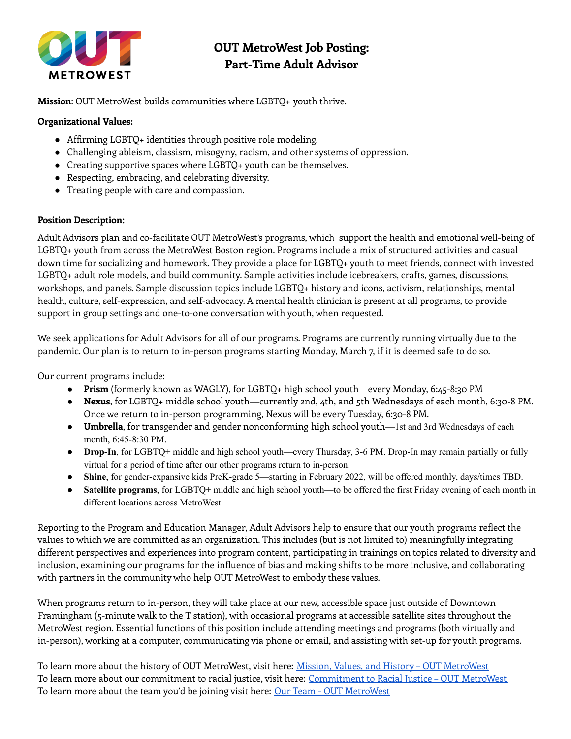

# **OUT MetroWest Job Posting: Part-Time Adult Advisor**

**Mission**: OUT MetroWest builds communities where LGBTQ+ youth thrive.

#### **Organizational Values:**

- Affirming LGBTQ+ identities through positive role modeling.
- Challenging ableism, classism, misogyny, racism, and other systems of oppression.
- Creating supportive spaces where LGBTQ+ youth can be themselves.
- Respecting, embracing, and celebrating diversity.
- Treating people with care and compassion.

#### **Position Description:**

Adult Advisors plan and co-facilitate OUT MetroWest's programs, which support the health and emotional well-being of LGBTQ+ youth from across the MetroWest Boston region. Programs include a mix of structured activities and casual down time for socializing and homework. They provide a place for LGBTQ+ youth to meet friends, connect with invested LGBTQ+ adult role models, and build community. Sample activities include icebreakers, crafts, games, discussions, workshops, and panels. Sample discussion topics include LGBTQ+ history and icons, activism, relationships, mental health, culture, self-expression, and self-advocacy. A mental health clinician is present at all programs, to provide support in group settings and one-to-one conversation with youth, when requested.

We seek applications for Adult Advisors for all of our programs. Programs are currently running virtually due to the pandemic. Our plan is to return to in-person programs starting Monday, March 7, if it is deemed safe to do so.

Our current programs include:

- **Prism** (formerly known as WAGLY), for LGBTQ+ high school youth—every Monday, 6:45-8:30 PM
- **Nexus**, for LGBTQ+ middle school youth—currently 2nd, 4th, and 5th Wednesdays of each month, 6:30-8 PM. Once we return to in-person programming, Nexus will be every Tuesday, 6:30-8 PM.
- **Umbrella**, for transgender and gender nonconforming high school youth—1st and 3rd Wednesdays of each month, 6:45-8:30 PM.
- **Drop-In**, for LGBTQ+ middle and high school youth—every Thursday, 3-6 PM. Drop-In may remain partially or fully virtual for a period of time after our other programs return to in-person.
- **Shine**, for gender-expansive kids PreK-grade 5—starting in February 2022, will be offered monthly, days/times TBD.
- **Satellite programs**, for LGBTQ+ middle and high school youth—to be offered the first Friday evening of each month in different locations across MetroWest

Reporting to the Program and Education Manager, Adult Advisors help to ensure that our youth programs reflect the values to which we are committed as an organization. This includes (but is not limited to) meaningfully integrating different perspectives and experiences into program content, participating in trainings on topics related to diversity and inclusion, examining our programs for the influence of bias and making shifts to be more inclusive, and collaborating with partners in the community who help OUT MetroWest to embody these values.

When programs return to in-person, they will take place at our new, accessible space just outside of Downtown Framingham (5-minute walk to the T station), with occasional programs at accessible satellite sites throughout the MetroWest region. Essential functions of this position include attending meetings and programs (both virtually and in-person), working at a computer, communicating via phone or email, and assisting with set-up for youth programs.

To learn more about the history of OUT [MetroWest](https://outmetrowest.org/about-mission-history/), visit here: Mission, Values, and History – OUT MetroWest To learn more about our commitment to racial justice, visit here: [Commitment](https://outmetrowest.org/commitment-to-racial-justice/) to Racial Justice – OUT MetroWest To learn more about the team you'd be joining visit here: <u>Our Team - OUT [MetroWest](https://outmetrowest.org/about-mission-history/staff/)</u>